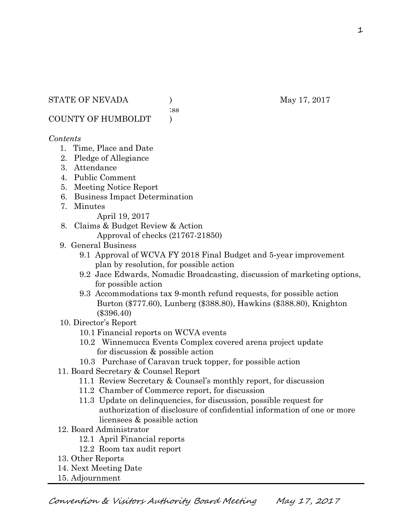:ss

COUNTY OF HUMBOLDT )

#### *Contents*

- 1. Time, Place and Date
- 2. Pledge of Allegiance
- 3. Attendance
- 4. Public Comment
- 5. Meeting Notice Report
- 6. Business Impact Determination
- 7. Minutes

April 19, 2017

- 8. Claims & Budget Review & Action
	- Approval of checks (21767-21850)
- 9. General Business
	- 9.1 Approval of WCVA FY 2018 Final Budget and 5-year improvement plan by resolution, for possible action
	- 9.2 Jace Edwards, Nomadic Broadcasting, discussion of marketing options, for possible action
	- 9.3 Accommodations tax 9-month refund requests, for possible action Burton (\$777.60), Lunberg (\$388.80), Hawkins (\$388.80), Knighton (\$396.40)
- 10. Director's Report
	- 10.1 Financial reports on WCVA events
	- 10.2 Winnemucca Events Complex covered arena project update for discussion & possible action
	- 10.3 Purchase of Caravan truck topper, for possible action
- 11. Board Secretary & Counsel Report
	- 11.1 Review Secretary & Counsel's monthly report, for discussion
	- 11.2 Chamber of Commerce report, for discussion
	- 11.3 Update on delinquencies, for discussion, possible request for authorization of disclosure of confidential information of one or more licensees & possible action
- 12. Board Administrator
	- 12.1 April Financial reports
	- 12.2 Room tax audit report
- 13. Other Reports
- 14. Next Meeting Date
- 15. Adjournment

1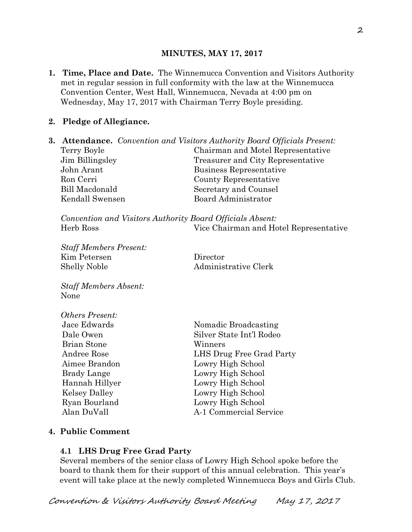## **MINUTES, MAY 17, 2017**

**1. Time, Place and Date.** The Winnemucca Convention and Visitors Authority met in regular session in full conformity with the law at the Winnemucca Convention Center, West Hall, Winnemucca, Nevada at 4:00 pm on Wednesday, May 17, 2017 with Chairman Terry Boyle presiding.

## **2. Pledge of Allegiance.**

|                 | <b>3. Attendance.</b> Convention and Visitors Authority Board Officials Present: |
|-----------------|----------------------------------------------------------------------------------|
| Terry Boyle     | Chairman and Motel Representative                                                |
| Jim Billingsley | Treasurer and City Representative                                                |
| John Arant      | Business Representative                                                          |
| Ron Cerri       | County Representative                                                            |
| Bill Macdonald  | Secretary and Counsel                                                            |
| Kendall Swensen | <b>Board Administrator</b>                                                       |
|                 |                                                                                  |
|                 |                                                                                  |

*Convention and Visitors Authority Board Officials Absent:*  Herb Ross Vice Chairman and Hotel Representative

*Staff Members Present:*  Kim Petersen Director Shelly Noble Administrative Clerk

*Staff Members Absent:*  None

*Others Present:*  Brian Stone Winners

Jace Edwards Nomadic Broadcasting Dale Owen Silver State Int'l Rodeo Andree Rose LHS Drug Free Grad Party Aimee Brandon Lowry High School Brady Lange Lowry High School Hannah Hillyer Lowry High School Kelsey Dalley Lowry High School Ryan Bourland Lowry High School Alan DuVall A-1 Commercial Service

# **4. Public Comment**

# **4.1 LHS Drug Free Grad Party**

Several members of the senior class of Lowry High School spoke before the board to thank them for their support of this annual celebration. This year's event will take place at the newly completed Winnemucca Boys and Girls Club.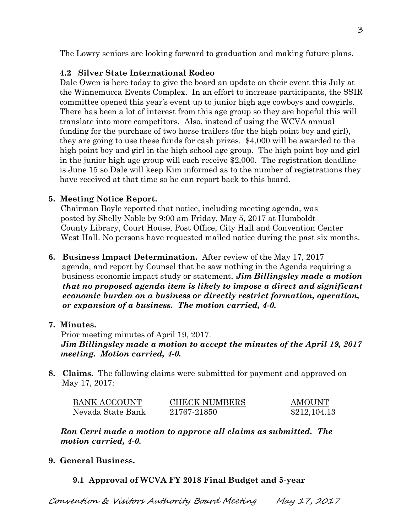The Lowry seniors are looking forward to graduation and making future plans.

# **4.2 Silver State International Rodeo**

 Dale Owen is here today to give the board an update on their event this July at the Winnemucca Events Complex. In an effort to increase participants, the SSIR committee opened this year's event up to junior high age cowboys and cowgirls. There has been a lot of interest from this age group so they are hopeful this will translate into more competitors. Also, instead of using the WCVA annual funding for the purchase of two horse trailers (for the high point boy and girl), they are going to use these funds for cash prizes. \$4,000 will be awarded to the high point boy and girl in the high school age group. The high point boy and girl in the junior high age group will each receive \$2,000. The registration deadline is June 15 so Dale will keep Kim informed as to the number of registrations they have received at that time so he can report back to this board.

# **5. Meeting Notice Report.**

Chairman Boyle reported that notice, including meeting agenda, was posted by Shelly Noble by 9:00 am Friday, May 5, 2017 at Humboldt County Library, Court House, Post Office, City Hall and Convention Center West Hall. No persons have requested mailed notice during the past six months.

**6. Business Impact Determination.** After review of the May 17, 2017 agenda, and report by Counsel that he saw nothing in the Agenda requiring a business economic impact study or statement, *Jim Billingsley made a motion that no proposed agenda item is likely to impose a direct and significant economic burden on a business or directly restrict formation, operation, or expansion of a business. The motion carried, 4-0.* 

# **7. Minutes.**

Prior meeting minutes of April 19, 2017.

*Jim Billingsley made a motion to accept the minutes of the April 19, 2017 meeting. Motion carried, 4-0.* 

**8. Claims.** The following claims were submitted for payment and approved on May 17, 2017:

| BANK ACCOUNT      | <b>CHECK NUMBERS</b> | <b>AMOUNT</b> |  |
|-------------------|----------------------|---------------|--|
| Nevada State Bank | 21767-21850          | \$212,104.13  |  |

*Ron Cerri made a motion to approve all claims as submitted. The motion carried, 4-0.* 

**9. General Business.** 

# **9.1 Approval of WCVA FY 2018 Final Budget and 5-year**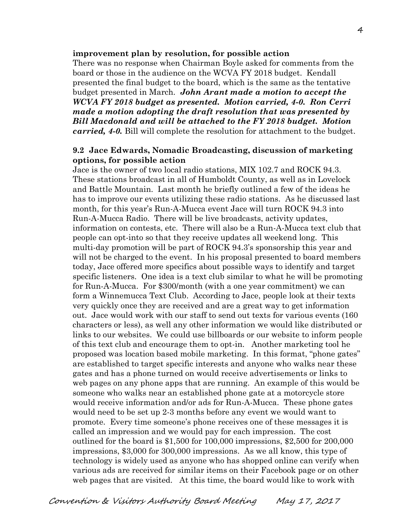#### **improvement plan by resolution, for possible action**

There was no response when Chairman Boyle asked for comments from the board or those in the audience on the WCVA FY 2018 budget. Kendall presented the final budget to the board, which is the same as the tentative budget presented in March. *John Arant made a motion to accept the WCVA FY 2018 budget as presented. Motion carried, 4-0. Ron Cerri made a motion adopting the draft resolution that was presented by Bill Macdonald and will be attached to the FY 2018 budget. Motion carried, 4-0.* Bill will complete the resolution for attachment to the budget.

#### **9.2 Jace Edwards, Nomadic Broadcasting, discussion of marketing options, for possible action**

Jace is the owner of two local radio stations, MIX 102.7 and ROCK 94.3. These stations broadcast in all of Humboldt County, as well as in Lovelock and Battle Mountain. Last month he briefly outlined a few of the ideas he has to improve our events utilizing these radio stations. As he discussed last month, for this year's Run-A-Mucca event Jace will turn ROCK 94.3 into Run-A-Mucca Radio. There will be live broadcasts, activity updates, information on contests, etc. There will also be a Run-A-Mucca text club that people can opt-into so that they receive updates all weekend long. This multi-day promotion will be part of ROCK 94.3's sponsorship this year and will not be charged to the event. In his proposal presented to board members today, Jace offered more specifics about possible ways to identify and target specific listeners. One idea is a text club similar to what he will be promoting for Run-A-Mucca. For \$300/month (with a one year commitment) we can form a Winnemucca Text Club. According to Jace, people look at their texts very quickly once they are received and are a great way to get information out. Jace would work with our staff to send out texts for various events (160 characters or less), as well any other information we would like distributed or links to our websites. We could use billboards or our website to inform people of this text club and encourage them to opt-in. Another marketing tool he proposed was location based mobile marketing. In this format, "phone gates" are established to target specific interests and anyone who walks near these gates and has a phone turned on would receive advertisements or links to web pages on any phone apps that are running. An example of this would be someone who walks near an established phone gate at a motorcycle store would receive information and/or ads for Run-A-Mucca. These phone gates would need to be set up 2-3 months before any event we would want to promote. Every time someone's phone receives one of these messages it is called an impression and we would pay for each impression. The cost outlined for the board is \$1,500 for 100,000 impressions, \$2,500 for 200,000 impressions, \$3,000 for 300,000 impressions. As we all know, this type of technology is widely used as anyone who has shopped online can verify when various ads are received for similar items on their Facebook page or on other web pages that are visited. At this time, the board would like to work with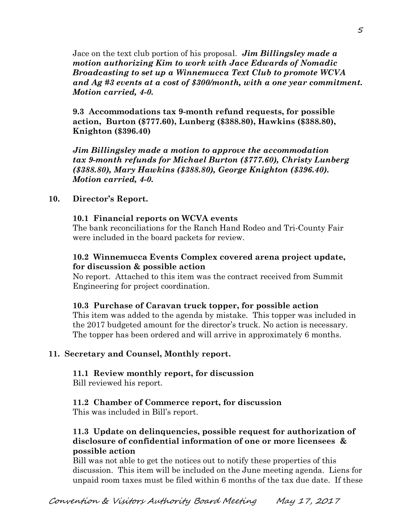Jace on the text club portion of his proposal. *Jim Billingsley made a motion authorizing Kim to work with Jace Edwards of Nomadic Broadcasting to set up a Winnemucca Text Club to promote WCVA and Ag #3 events at a cost of \$300/month, with a one year commitment. Motion carried, 4-0.* 

**9.3 Accommodations tax 9-month refund requests, for possible action, Burton (\$777.60), Lunberg (\$388.80), Hawkins (\$388.80), Knighton (\$396.40)** 

*Jim Billingsley made a motion to approve the accommodation tax 9-month refunds for Michael Burton (\$777.60), Christy Lunberg (\$388.80), Mary Hawkins (\$388.80), George Knighton (\$396.40). Motion carried, 4-0.*

#### **10. Director's Report.**

#### **10.1 Financial reports on WCVA events**

The bank reconciliations for the Ranch Hand Rodeo and Tri-County Fair were included in the board packets for review.

#### **10.2 Winnemucca Events Complex covered arena project update, for discussion & possible action**

No report. Attached to this item was the contract received from Summit Engineering for project coordination.

#### **10.3 Purchase of Caravan truck topper, for possible action**

This item was added to the agenda by mistake. This topper was included in the 2017 budgeted amount for the director's truck. No action is necessary. The topper has been ordered and will arrive in approximately 6 months.

# **11. Secretary and Counsel, Monthly report.**

# **11.1 Review monthly report, for discussion**

Bill reviewed his report.

# **11.2 Chamber of Commerce report, for discussion**

This was included in Bill's report.

## **11.3 Update on delinquencies, possible request for authorization of disclosure of confidential information of one or more licensees & possible action**

Bill was not able to get the notices out to notify these properties of this discussion. This item will be included on the June meeting agenda. Liens for unpaid room taxes must be filed within 6 months of the tax due date. If these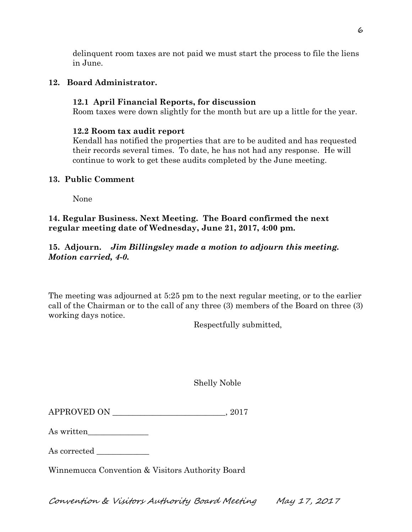delinquent room taxes are not paid we must start the process to file the liens in June.

# **12. Board Administrator.**

# **12.1 April Financial Reports, for discussion**

Room taxes were down slightly for the month but are up a little for the year.

## **12.2 Room tax audit report**

Kendall has notified the properties that are to be audited and has requested their records several times. To date, he has not had any response. He will continue to work to get these audits completed by the June meeting.

# **13. Public Comment**

None

# **14. Regular Business. Next Meeting. The Board confirmed the next regular meeting date of Wednesday, June 21, 2017, 4:00 pm.**

# **15. Adjourn.** *Jim Billingsley made a motion to adjourn this meeting. Motion carried, 4-0.*

The meeting was adjourned at 5:25 pm to the next regular meeting, or to the earlier call of the Chairman or to the call of any three (3) members of the Board on three (3) working days notice.

Respectfully submitted,

|  | <b>Shelly Noble</b> |
|--|---------------------|
|--|---------------------|

| <b>APPROVED ON</b> | 201' |
|--------------------|------|
|                    |      |

| As written |  |
|------------|--|
|            |  |

As corrected

Winnemucca Convention & Visitors Authority Board